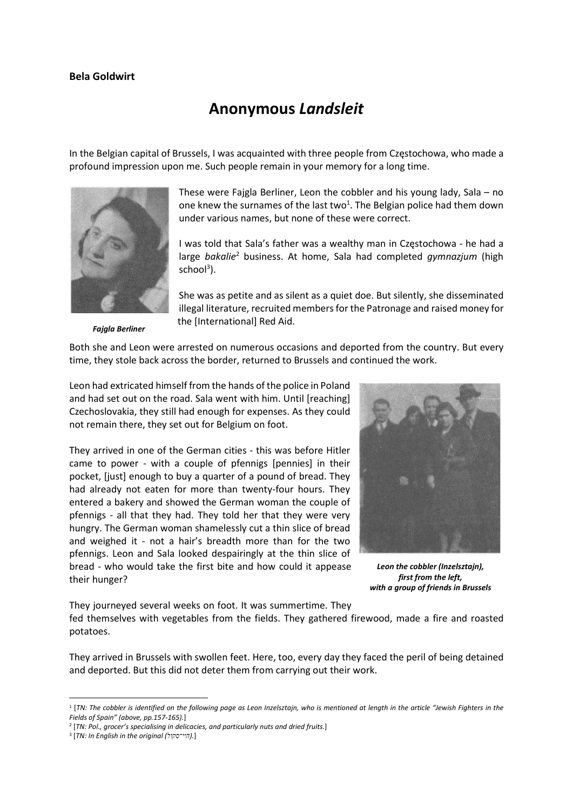## Bela Goldwirt

## Anonymous Landsleit

In the Belgian capital of Brussels, I was acquainted with three people from Częstochowa, who made a profound impression upon me. Such people remain in your memory for a long time.



Fajgla Berliner

These were Fajgla Berliner, Leon the cobbler and his young lady, Sala – no one knew the surnames of the last two<sup>1</sup>. The Belgian police had them down under various names, but none of these were correct.

I was told that Sala's father was a wealthy man in Częstochowa - he had a large bakalie<sup>2</sup> business. At home, Sala had completed gymnazjum (high school<sup>3</sup>).

She was as petite and as silent as a quiet doe. But silently, she disseminated illegal literature, recruited members for the Patronage and raised money for the [International] Red Aid.

Both she and Leon were arrested on numerous occasions and deported from the country. But every time, they stole back across the border, returned to Brussels and continued the work.

Leon had extricated himself from the hands of the police in Poland and had set out on the road. Sala went with him. Until [reaching] Czechoslovakia, they still had enough for expenses. As they could not remain there, they set out for Belgium on foot.

They arrived in one of the German cities - this was before Hitler came to power - with a couple of pfennigs [pennies] in their pocket, [just] enough to buy a quarter of a pound of bread. They had already not eaten for more than twenty-four hours. They entered a bakery and showed the German woman the couple of pfennigs - all that they had. They told her that they were very hungry. The German woman shamelessly cut a thin slice of bread and weighed it - not a hair's breadth more than for the two pfennigs. Leon and Sala looked despairingly at the thin slice of bread - who would take the first bite and how could it appease their hunger?



Leon the cobbler (Inzelsztajn), first from the left, with a group of friends in Brussels

They journeyed several weeks on foot. It was summertime. They

fed themselves with vegetables from the fields. They gathered firewood, made a fire and roasted potatoes.

They arrived in Brussels with swollen feet. Here, too, every day they faced the peril of being detained and deported. But this did not deter them from carrying out their work.

<sup>1</sup> [TN: The cobbler is identified on the following page as Leon Inzelsztajn, who is mentioned at length in the article "Jewish Fighters in the Fields of Spain" (above, pp.157-165).]

<sup>&</sup>lt;sup>2</sup> [TN: Pol., grocer's specialising in delicacies, and particularly nuts and dried fruits.]

<sup>&</sup>lt;sup>3</sup> [TN: In English in the original (היי־סקול).]